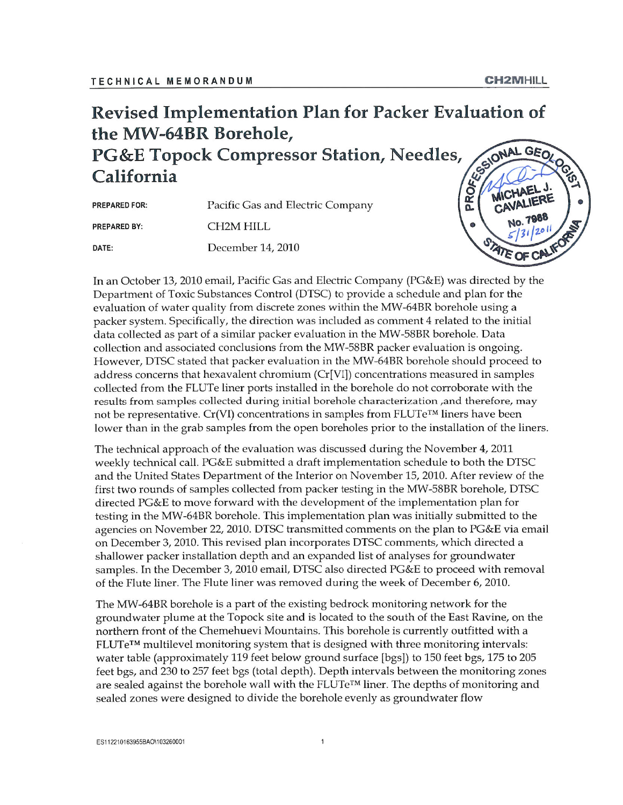#### Revised Implementation Plan for Packer Evaluation of the MW-64BR Borehole,

**PG&E Topock Compressor Station, Needles,** California

| <b>PREPARED FOR:</b> | Pacific Gas and Electric Company |
|----------------------|----------------------------------|
| <b>PREPARED BY:</b>  | CH <sub>2</sub> M HILL           |
| DATE:                | December 14, 2010                |



In an October 13, 2010 email, Pacific Gas and Electric Company (PG&E) was directed by the Department of Toxic Substances Control (DTSC) to provide a schedule and plan for the evaluation of water quality from discrete zones within the MW-64BR borehole using a packer system. Specifically, the direction was included as comment 4 related to the initial data collected as part of a similar packer evaluation in the MW-58BR borehole. Data collection and associated conclusions from the MW-58BR packer evaluation is ongoing. However, DTSC stated that packer evaluation in the MW-64BR borehole should proceed to address concerns that hexavalent chromium (Cr[VI]) concentrations measured in samples collected from the FLUTe liner ports installed in the borehole do not corroborate with the results from samples collected during initial borehole characterization, and therefore, may not be representative. Cr(VI) concentrations in samples from FLUTe<sup>™</sup> liners have been lower than in the grab samples from the open boreholes prior to the installation of the liners.

The technical approach of the evaluation was discussed during the November 4, 2011 weekly technical call. PG&E submitted a draft implementation schedule to both the DTSC and the United States Department of the Interior on November 15, 2010. After review of the first two rounds of samples collected from packer testing in the MW-58BR borehole, DTSC directed PG&E to move forward with the development of the implementation plan for testing in the MW-64BR borehole. This implementation plan was initially submitted to the agencies on November 22, 2010. DTSC transmitted comments on the plan to PG&E via email on December 3, 2010. This revised plan incorporates DTSC comments, which directed a shallower packer installation depth and an expanded list of analyses for groundwater samples. In the December 3, 2010 email, DTSC also directed PG&E to proceed with removal of the Flute liner. The Flute liner was removed during the week of December 6, 2010.

The MW-64BR borehole is a part of the existing bedrock monitoring network for the groundwater plume at the Topock site and is located to the south of the East Ravine, on the northern front of the Chemehuevi Mountains. This borehole is currently outfitted with a  $FLUTe^{TM}$  multilevel monitoring system that is designed with three monitoring intervals: water table (approximately 119 feet below ground surface [bgs]) to 150 feet bgs, 175 to 205 feet bgs, and 230 to 257 feet bgs (total depth). Depth intervals between the monitoring zones are sealed against the borehole wall with the  $FLUTe^{TM}$  liner. The depths of monitoring and sealed zones were designed to divide the borehole evenly as groundwater flow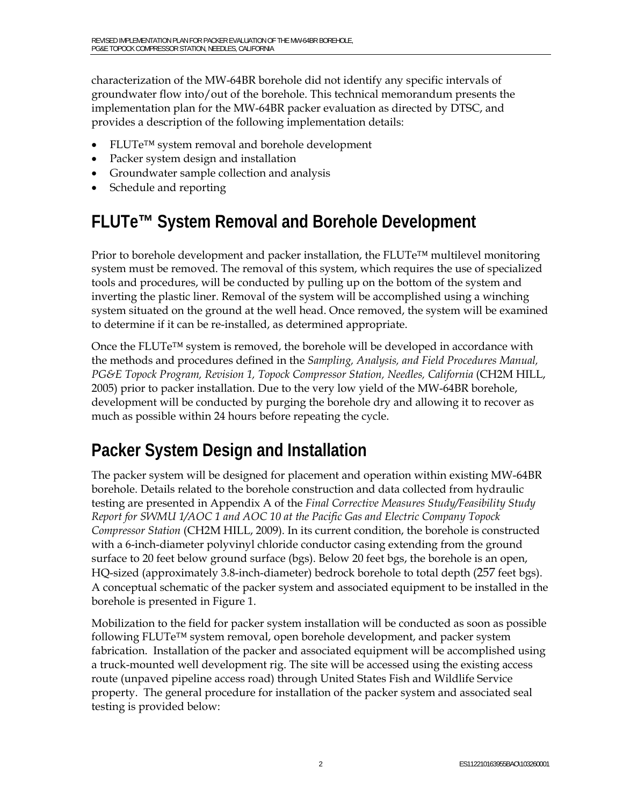characterization of the MW-64BR borehole did not identify any specific intervals of groundwater flow into/out of the borehole. This technical memorandum presents the implementation plan for the MW-64BR packer evaluation as directed by DTSC, and provides a description of the following implementation details:

- FLUTe™ system removal and borehole development
- Packer system design and installation
- Groundwater sample collection and analysis
- Schedule and reporting

### **FLUTe™ System Removal and Borehole Development**

Prior to borehole development and packer installation, the  $FLUTe^{TM}$  multilevel monitoring system must be removed. The removal of this system, which requires the use of specialized tools and procedures, will be conducted by pulling up on the bottom of the system and inverting the plastic liner. Removal of the system will be accomplished using a winching system situated on the ground at the well head. Once removed, the system will be examined to determine if it can be re-installed, as determined appropriate.

Once the FLUTe<sup>™</sup> system is removed, the borehole will be developed in accordance with the methods and procedures defined in the *Sampling, Analysis, and Field Procedures Manual, PG&E Topock Program, Revision 1, Topock Compressor Station, Needles, California* (CH2M HILL, 2005) prior to packer installation. Due to the very low yield of the MW-64BR borehole, development will be conducted by purging the borehole dry and allowing it to recover as much as possible within 24 hours before repeating the cycle.

## **Packer System Design and Installation**

The packer system will be designed for placement and operation within existing MW-64BR borehole. Details related to the borehole construction and data collected from hydraulic testing are presented in Appendix A of the *Final Corrective Measures Study/Feasibility Study Report for SWMU 1/AOC 1 and AOC 10 at the Pacific Gas and Electric Company Topock Compressor Station* (CH2M HILL, 2009). In its current condition, the borehole is constructed with a 6-inch-diameter polyvinyl chloride conductor casing extending from the ground surface to 20 feet below ground surface (bgs). Below 20 feet bgs, the borehole is an open, HQ-sized (approximately 3.8-inch-diameter) bedrock borehole to total depth (257 feet bgs). A conceptual schematic of the packer system and associated equipment to be installed in the borehole is presented in Figure 1.

Mobilization to the field for packer system installation will be conducted as soon as possible following FLUTe™ system removal, open borehole development, and packer system fabrication. Installation of the packer and associated equipment will be accomplished using a truck-mounted well development rig. The site will be accessed using the existing access route (unpaved pipeline access road) through United States Fish and Wildlife Service property. The general procedure for installation of the packer system and associated seal testing is provided below: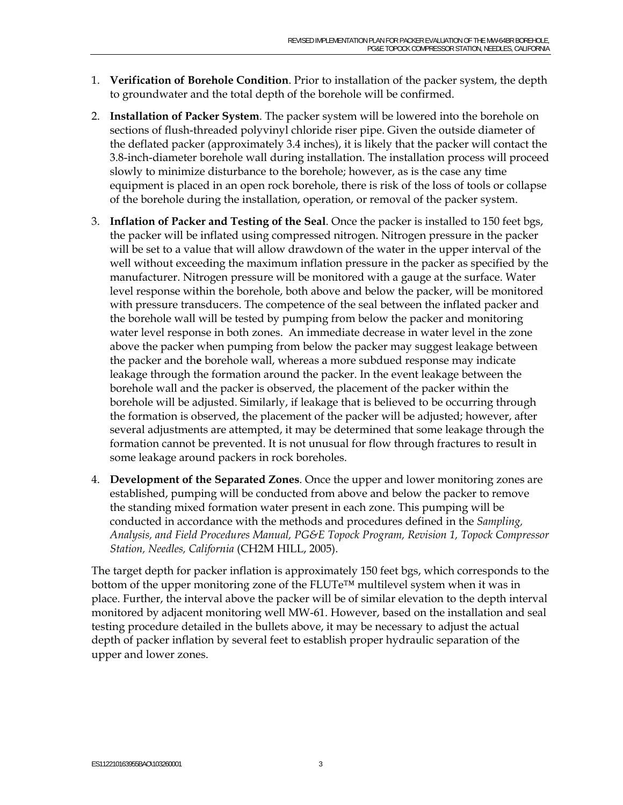- 1. **Verification of Borehole Condition**. Prior to installation of the packer system, the depth to groundwater and the total depth of the borehole will be confirmed.
- 2. **Installation of Packer System**. The packer system will be lowered into the borehole on sections of flush-threaded polyvinyl chloride riser pipe. Given the outside diameter of the deflated packer (approximately 3.4 inches), it is likely that the packer will contact the 3.8-inch-diameter borehole wall during installation. The installation process will proceed slowly to minimize disturbance to the borehole; however, as is the case any time equipment is placed in an open rock borehole, there is risk of the loss of tools or collapse of the borehole during the installation, operation, or removal of the packer system.
- 3. **Inflation of Packer and Testing of the Seal**. Once the packer is installed to 150 feet bgs, the packer will be inflated using compressed nitrogen. Nitrogen pressure in the packer will be set to a value that will allow drawdown of the water in the upper interval of the well without exceeding the maximum inflation pressure in the packer as specified by the manufacturer. Nitrogen pressure will be monitored with a gauge at the surface. Water level response within the borehole, both above and below the packer, will be monitored with pressure transducers. The competence of the seal between the inflated packer and the borehole wall will be tested by pumping from below the packer and monitoring water level response in both zones. An immediate decrease in water level in the zone above the packer when pumping from below the packer may suggest leakage between the packer and th**e** borehole wall, whereas a more subdued response may indicate leakage through the formation around the packer. In the event leakage between the borehole wall and the packer is observed, the placement of the packer within the borehole will be adjusted. Similarly, if leakage that is believed to be occurring through the formation is observed, the placement of the packer will be adjusted; however, after several adjustments are attempted, it may be determined that some leakage through the formation cannot be prevented. It is not unusual for flow through fractures to result in some leakage around packers in rock boreholes.
- 4. **Development of the Separated Zones**. Once the upper and lower monitoring zones are established, pumping will be conducted from above and below the packer to remove the standing mixed formation water present in each zone. This pumping will be conducted in accordance with the methods and procedures defined in the *Sampling, Analysis, and Field Procedures Manual, PG&E Topock Program, Revision 1, Topock Compressor Station, Needles, California* (CH2M HILL, 2005).

The target depth for packer inflation is approximately 150 feet bgs, which corresponds to the bottom of the upper monitoring zone of the FLUTe™ multilevel system when it was in place. Further, the interval above the packer will be of similar elevation to the depth interval monitored by adjacent monitoring well MW-61. However, based on the installation and seal testing procedure detailed in the bullets above, it may be necessary to adjust the actual depth of packer inflation by several feet to establish proper hydraulic separation of the upper and lower zones.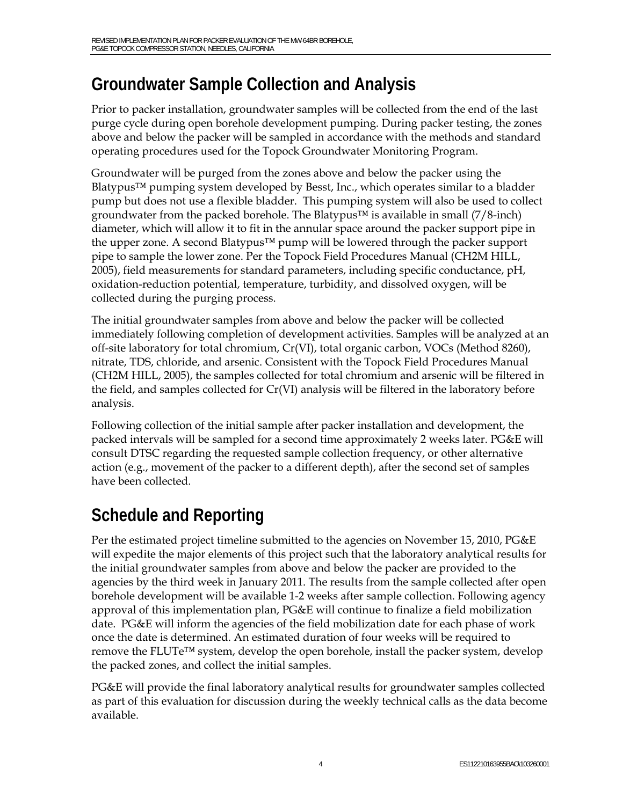## **Groundwater Sample Collection and Analysis**

Prior to packer installation, groundwater samples will be collected from the end of the last purge cycle during open borehole development pumping. During packer testing, the zones above and below the packer will be sampled in accordance with the methods and standard operating procedures used for the Topock Groundwater Monitoring Program.

Groundwater will be purged from the zones above and below the packer using the Blatypus<sup> $TM$ </sup> pumping system developed by Besst, Inc., which operates similar to a bladder pump but does not use a flexible bladder. This pumping system will also be used to collect groundwater from the packed borehole. The Blatypus<sup> $TM$ </sup> is available in small (7/8-inch) diameter, which will allow it to fit in the annular space around the packer support pipe in the upper zone. A second Blatypus™ pump will be lowered through the packer support pipe to sample the lower zone. Per the Topock Field Procedures Manual (CH2M HILL, 2005), field measurements for standard parameters, including specific conductance, pH, oxidation-reduction potential, temperature, turbidity, and dissolved oxygen, will be collected during the purging process.

The initial groundwater samples from above and below the packer will be collected immediately following completion of development activities. Samples will be analyzed at an off-site laboratory for total chromium, Cr(VI), total organic carbon, VOCs (Method 8260), nitrate, TDS, chloride, and arsenic. Consistent with the Topock Field Procedures Manual (CH2M HILL, 2005), the samples collected for total chromium and arsenic will be filtered in the field, and samples collected for Cr(VI) analysis will be filtered in the laboratory before analysis.

Following collection of the initial sample after packer installation and development, the packed intervals will be sampled for a second time approximately 2 weeks later. PG&E will consult DTSC regarding the requested sample collection frequency, or other alternative action (e.g., movement of the packer to a different depth), after the second set of samples have been collected.

# **Schedule and Reporting**

Per the estimated project timeline submitted to the agencies on November 15, 2010, PG&E will expedite the major elements of this project such that the laboratory analytical results for the initial groundwater samples from above and below the packer are provided to the agencies by the third week in January 2011. The results from the sample collected after open borehole development will be available 1-2 weeks after sample collection. Following agency approval of this implementation plan,  $PG\&E$  will continue to finalize a field mobilization date. PG&E will inform the agencies of the field mobilization date for each phase of work once the date is determined. An estimated duration of four weeks will be required to remove the FLUTe™ system, develop the open borehole, install the packer system, develop the packed zones, and collect the initial samples.

PG&E will provide the final laboratory analytical results for groundwater samples collected as part of this evaluation for discussion during the weekly technical calls as the data become available.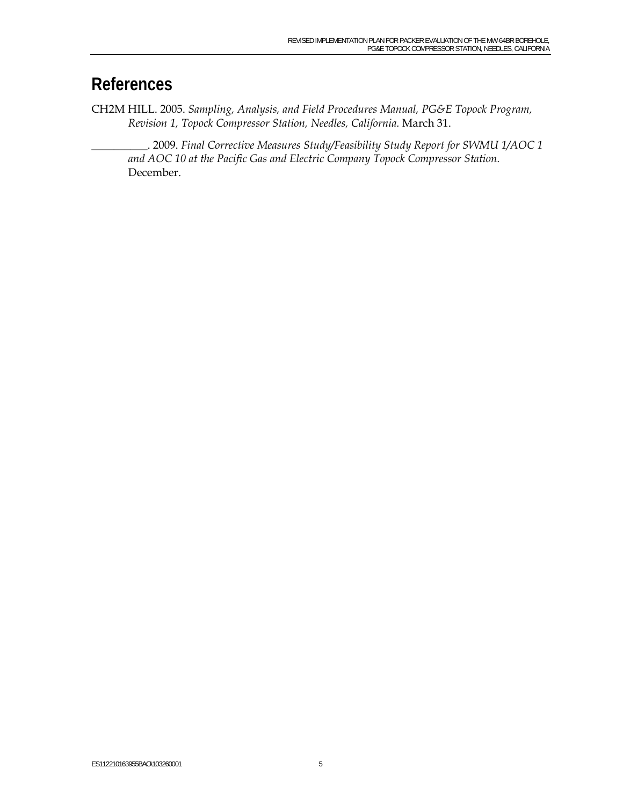#### **References**

CH2M HILL. 2005. *Sampling, Analysis, and Field Procedures Manual, PG&E Topock Program, Revision 1, Topock Compressor Station, Needles, California.* March 31.

\_\_\_\_\_\_\_\_\_\_. 2009. *Final Corrective Measures Study/Feasibility Study Report for SWMU 1/AOC 1 and AOC 10 at the Pacific Gas and Electric Company Topock Compressor Station.*  December.